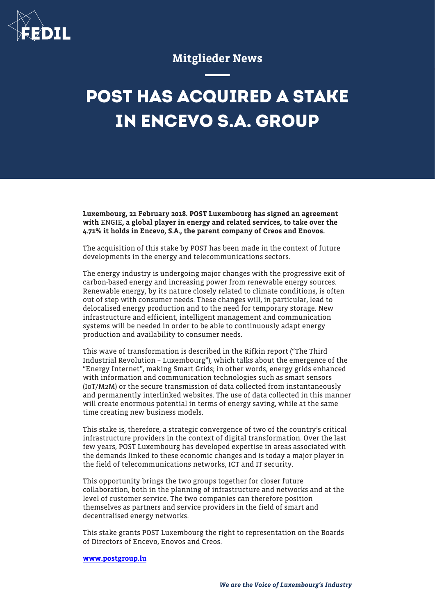

## Mitglieder News

## **POST HAS ACQUIRED A STAKE IN ENCEVO S.A. GROUP**

Luxembourg, 21 February 2018. POST Luxembourg has signed an agreement with ENGIE, a global player in energy and related services, to take over the 4.71% it holds in Encevo, S.A., the parent company of Creos and Enovos.

The acquisition of this stake by POST has been made in the context of future developments in the energy and telecommunications sectors.

The energy industry is undergoing major changes with the progressive exit of carbon-based energy and increasing power from renewable energy sources. Renewable energy, by its nature closely related to climate conditions, is often out of step with consumer needs. These changes will, in particular, lead to delocalised energy production and to the need for temporary storage. New infrastructure and efficient, intelligent management and communication systems will be needed in order to be able to continuously adapt energy production and availability to consumer needs.

This wave of transformation is described in the Rifkin report ("The Third Industrial Revolution – Luxembourg"), which talks about the emergence of the "Energy Internet", making Smart Grids; in other words, energy grids enhanced with information and communication technologies such as smart sensors (IoT/M2M) or the secure transmission of data collected from instantaneously and permanently interlinked websites. The use of data collected in this manner will create enormous potential in terms of energy saving, while at the same time creating new business models.

This stake is, therefore, a strategic convergence of two of the country's critical infrastructure providers in the context of digital transformation. Over the last few years, POST Luxembourg has developed expertise in areas associated with the demands linked to these economic changes and is today a major player in the field of telecommunications networks, ICT and IT security.

This opportunity brings the two groups together for closer future collaboration, both in the planning of infrastructure and networks and at the level of customer service. The two companies can therefore position themselves as partners and service providers in the field of smart and decentralised energy networks.

This stake grants POST Luxembourg the right to representation on the Boards of Directors of Encevo, Enovos and Creos.

## [www.postgroup.lu](http://www.postgroup.lu)